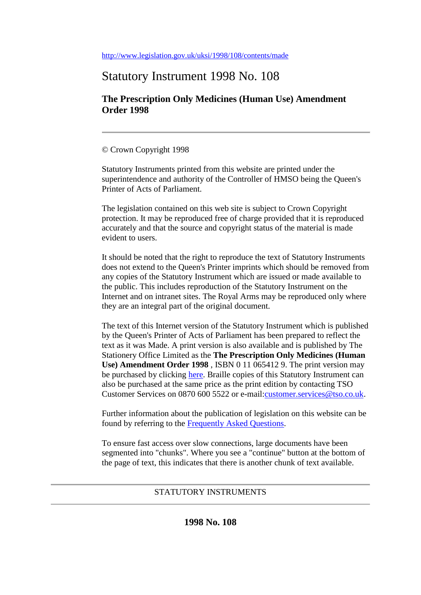<http://www.legislation.gov.uk/uksi/1998/108/contents/made>

# Statutory Instrument 1998 No. 108

**The Prescription Only Medicines (Human Use) Amendment Order 1998**

## © Crown Copyright 1998

Statutory Instruments printed from this website are printed under the superintendence and authority of the Controller of HMSO being the Queen's Printer of Acts of Parliament.

The legislation contained on this web site is subject to Crown Copyright protection. It may be reproduced free of charge provided that it is reproduced accurately and that the source and copyright status of the material is made evident to users.

It should be noted that the right to reproduce the text of Statutory Instruments does not extend to the Queen's Printer imprints which should be removed from any copies of the Statutory Instrument which are issued or made available to the public. This includes reproduction of the Statutory Instrument on the Internet and on intranet sites. The Royal Arms may be reproduced only where they are an integral part of the original document.

The text of this Internet version of the Statutory Instrument which is published by the Queen's Printer of Acts of Parliament has been prepared to reflect the text as it was Made. A print version is also available and is published by The Stationery Office Limited as the **The Prescription Only Medicines (Human Use) Amendment Order 1998** , ISBN 0 11 065412 9. The print version may be purchased by clicking [here.](http://www.opsi.gov.uk/bookstore.htm?AF=A10075&FO=38383&ACTION=AddItem&ProductID=0110654129) Braille copies of this Statutory Instrument can also be purchased at the same price as the print edition by contacting TSO Customer Services on 0870 600 5522 or e-mail[:customer.services@tso.co.uk.](mailto:customer.services@tso.co.uk)

Further information about the publication of legislation on this website can be found by referring to the [Frequently Asked Questions.](http://www.hmso.gov.uk/faqs.htm)

To ensure fast access over slow connections, large documents have been segmented into "chunks". Where you see a "continue" button at the bottom of the page of text, this indicates that there is another chunk of text available.

# STATUTORY INSTRUMENTS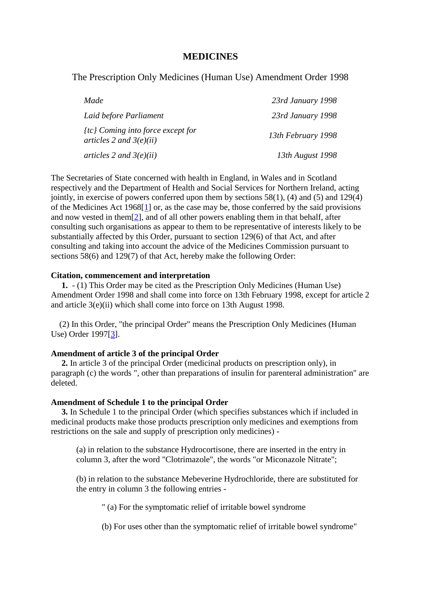### **MEDICINES**

The Prescription Only Medicines (Human Use) Amendment Order 1998

| Made                                                               | 23rd January 1998  |
|--------------------------------------------------------------------|--------------------|
| Laid before Parliament                                             | 23rd January 1998  |
| $\{tc\}$ Coming into force except for<br>articles 2 and $3(e)(ii)$ | 13th February 1998 |
| articles 2 and $3(e)(ii)$                                          | 13th August 1998   |

The Secretaries of State concerned with health in England, in Wales and in Scotland respectively and the Department of Health and Social Services for Northern Ireland, acting jointly, in exercise of powers conferred upon them by sections  $58(1)$ , (4) and (5) and 129(4) of the Medicines Act 1968[\[1\]](http://www.opsi.gov.uk/si/si1998/19980108.htm#note1) or, as the case may be, those conferred by the said provisions and now vested in them $[2]$ , and of all other powers enabling them in that behalf, after consulting such organisations as appear to them to be representative of interests likely to be substantially affected by this Order, pursuant to section 129(6) of that Act, and after consulting and taking into account the advice of the Medicines Commission pursuant to sections 58(6) and 129(7) of that Act, hereby make the following Order:

#### **Citation, commencement and interpretation**

**1.** - (1) This Order may be cited as the Prescription Only Medicines (Human Use) Amendment Order 1998 and shall come into force on 13th February 1998, except for article 2 and article 3(e)(ii) which shall come into force on 13th August 1998.

(2) In this Order, "the principal Order" means the Prescription Only Medicines (Human Use) Order 1997[\[3\]](http://www.opsi.gov.uk/si/si1998/19980108.htm#note3).

#### **Amendment of article 3 of the principal Order**

**2.** In article 3 of the principal Order (medicinal products on prescription only), in paragraph (c) the words ", other than preparations of insulin for parenteral administration" are deleted.

#### **Amendment of Schedule 1 to the principal Order**

**3.** In Schedule 1 to the principal Order (which specifies substances which if included in medicinal products make those products prescription only medicines and exemptions from restrictions on the sale and supply of prescription only medicines) -

(a) in relation to the substance Hydrocortisone, there are inserted in the entry in column 3, after the word "Clotrimazole", the words "or Miconazole Nitrate";

(b) in relation to the substance Mebeverine Hydrochloride, there are substituted for the entry in column 3 the following entries -

" (a) For the symptomatic relief of irritable bowel syndrome

(b) For uses other than the symptomatic relief of irritable bowel syndrome"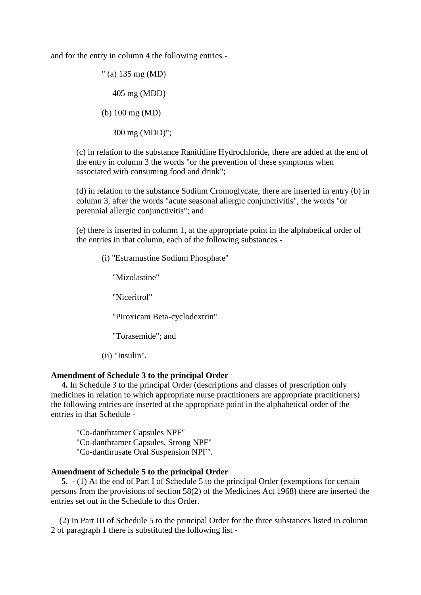and for the entry in column 4 the following entries -

" (a) 135 mg (MD) 405 mg (MDD) (b) 100 mg (MD)

300 mg (MDD)";

(c) in relation to the substance Ranitidine Hydrochloride, there are added at the end of the entry in column 3 the words "or the prevention of these symptoms when associated with consuming food and drink";

(d) in relation to the substance Sodium Cromoglycate, there are inserted in entry (b) in column 3, after the words "acute seasonal allergic conjunctivitis", the words "or perennial allergic conjunctivitis"; and

(e) there is inserted in column 1, at the appropriate point in the alphabetical order of the entries in that column, each of the following substances -

(i) "Estramustine Sodium Phosphate"

"Mizolastine"

"Niceritrol"

"Piroxicam Beta-cyclodextrin"

"Torasemide"; and

(ii) "Insulin".

### **Amendment of Schedule 3 to the principal Order**

**4.** In Schedule 3 to the principal Order (descriptions and classes of prescription only medicines in relation to which appropriate nurse practitioners are appropriate practitioners) the following entries are inserted at the appropriate point in the alphabetical order of the entries in that Schedule -

"Co-danthramer Capsules NPF" "Co-danthramer Capsules, Strong NPF" "Co-danthrusate Oral Suspension NPF".

#### **Amendment of Schedule 5 to the principal Order**

**5.** - (1) At the end of Part I of Schedule 5 to the principal Order (exemptions for certain persons from the provisions of section 58(2) of the Medicines Act 1968) there are inserted the entries set out in the Schedule to this Order.

(2) In Part III of Schedule 5 to the principal Order for the three substances listed in column 2 of paragraph 1 there is substituted the following list -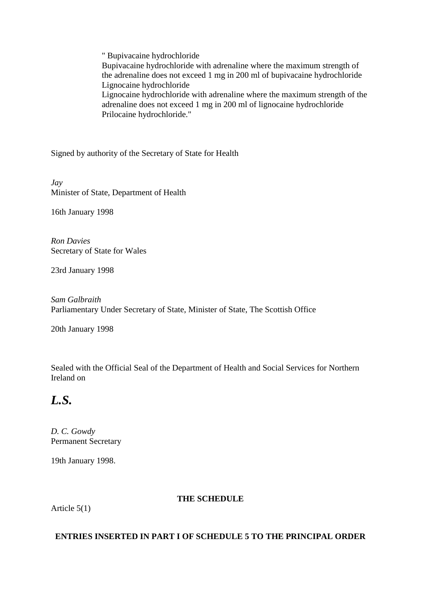" Bupivacaine hydrochloride Bupivacaine hydrochloride with adrenaline where the maximum strength of the adrenaline does not exceed 1 mg in 200 ml of bupivacaine hydrochloride Lignocaine hydrochloride Lignocaine hydrochloride with adrenaline where the maximum strength of the adrenaline does not exceed 1 mg in 200 ml of lignocaine hydrochloride Prilocaine hydrochloride."

Signed by authority of the Secretary of State for Health

*Jay* Minister of State, Department of Health

16th January 1998

*Ron Davies* Secretary of State for Wales

23rd January 1998

*Sam Galbraith* Parliamentary Under Secretary of State, Minister of State, The Scottish Office

20th January 1998

Sealed with the Official Seal of the Department of Health and Social Services for Northern Ireland on

# *L.S.*

*D. C. Gowdy* Permanent Secretary

19th January 1998.

## **THE SCHEDULE**

Article 5(1)

## **ENTRIES INSERTED IN PART I OF SCHEDULE 5 TO THE PRINCIPAL ORDER**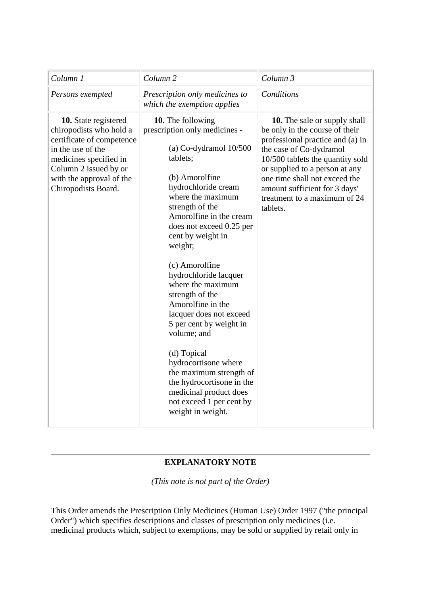| Column 1                                                                                                                                                                                                | Column <sub>2</sub>                                                                                                                                                                                                                                                                                                                                                                                                                                                                                                                                                                                                          | Column 3                                                                                                                                                                                                                                                                                                                 |
|---------------------------------------------------------------------------------------------------------------------------------------------------------------------------------------------------------|------------------------------------------------------------------------------------------------------------------------------------------------------------------------------------------------------------------------------------------------------------------------------------------------------------------------------------------------------------------------------------------------------------------------------------------------------------------------------------------------------------------------------------------------------------------------------------------------------------------------------|--------------------------------------------------------------------------------------------------------------------------------------------------------------------------------------------------------------------------------------------------------------------------------------------------------------------------|
| Persons exempted                                                                                                                                                                                        | Prescription only medicines to<br>which the exemption applies                                                                                                                                                                                                                                                                                                                                                                                                                                                                                                                                                                | Conditions                                                                                                                                                                                                                                                                                                               |
| 10. State registered<br>chiropodists who hold a<br>certificate of competence<br>in the use of the<br>medicines specified in<br>Column 2 issued by or<br>with the approval of the<br>Chiropodists Board. | 10. The following<br>prescription only medicines -<br>(a) $Co$ -dydramol $10/500$<br>tablets;<br>(b) Amorolfine<br>hydrochloride cream<br>where the maximum<br>strength of the<br>Amorolfine in the cream<br>does not exceed 0.25 per<br>cent by weight in<br>weight;<br>(c) Amorolfine<br>hydrochloride lacquer<br>where the maximum<br>strength of the<br>Amorolfine in the<br>lacquer does not exceed<br>5 per cent by weight in<br>volume; and<br>(d) Topical<br>hydrocortisone where<br>the maximum strength of<br>the hydrocortisone in the<br>medicinal product does<br>not exceed 1 per cent by<br>weight in weight. | <b>10.</b> The sale or supply shall<br>be only in the course of their<br>professional practice and (a) in<br>the case of Co-dydramol<br>10/500 tablets the quantity sold<br>or supplied to a person at any<br>one time shall not exceed the<br>amount sufficient for 3 days'<br>treatment to a maximum of 24<br>tablets. |

# **EXPLANATORY NOTE**

*(This note is not part of the Order)*

This Order amends the Prescription Only Medicines (Human Use) Order 1997 ("the principal Order") which specifies descriptions and classes of prescription only medicines (i.e. medicinal products which, subject to exemptions, may be sold or supplied by retail only in